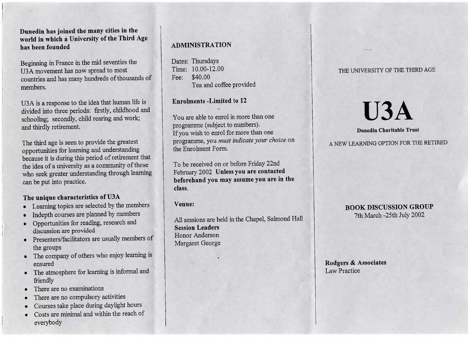**Dunedin has joined the many cities in the world in which a University of the Third Agehas been founded**

Beginning in France in the mid seventies theU3A movement has now spread to most ountries and has many hundreds of thousands of members.

U3A is a response to the idea that human life is ivided into three periods: firstly, childhood and schooling; secondly, child rearing and work;and thirdly retirement.

The third age is seen to provide the greatestpportunities for learning and understanding because it is during this period of retirement thatthe idea of a university as a community of those who seek greater understanding through learningcan be put into practice.

# **The unique characteristics of U3A**

- Learning topics are selected by the members
- Indepth courses are planned by members
- Opportunities for reading, research anddiscussion are provided
- Presenters/facilitators are usually members ofthe groups
- The company of others who enjoy learning isensured
- The atmosphere for learning is informal and friendly
- There are no examinations
- There are no compulsory activities
- Courses take place during daylight hours
- Costs are minimal and within the reach of everybody

# **ADMINISTRATION**

Dates: Thursdays $T = 10.00 - 12.00$ Fee: \$40.00ea and correct provided

**Enrolments -Limited to 12**

You are able to enrol in more than oneprogramme (subject to numbers).If you wish to enrol for more than one If you wish to enrol for more than one programme, you *must indicate your choice* onthe Enrolment Form.

To be received on or before Friday  $22\text{nd}$ <br>Reference 2002 Huless you are contacted February 2002 **Unless you are contacted beforehand you may assume you are in theclass.**

# **Venue:**

All sessions are held in the Chapel, Salmond Hall**Session Leaders** Honor AndersonMargaret George

# THE UNIVERSITY OF THE THIRD AGE

**U3A**

A NEW LEARNING OPTION FOR THE RETIRED

**Dunedin Charitable Trust** 

# **BOOK DISCUSSION GROUP**<br>7th March -25th July 2002 7th March-25th July 2002

**Rodgers & Associates**Law Practice